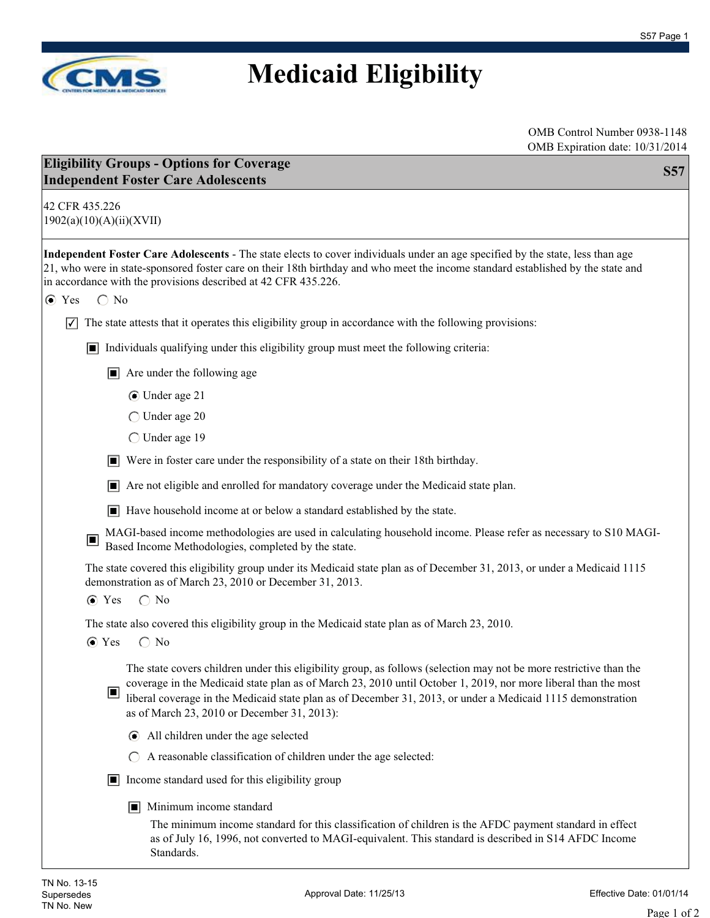

## **Medicaid Eligibility**

OMB Control Number 0938-1148 OMB Expiration date: 10/31/2014

| 42 CFR 435.226<br>1902(a)(10)(A)(ii)(XVII)<br>Independent Foster Care Adolescents - The state elects to cover individuals under an age specified by the state, less than age<br>21, who were in state-sponsored foster care on their 18th birthday and who meet the income standard established by the state and<br>in accordance with the provisions described at 42 CFR 435.226.<br>$\bigcirc$ No<br>$\odot$ Yes<br>The state attests that it operates this eligibility group in accordance with the following provisions:<br>$ \mathcal{V} $<br>$\Box$ Individuals qualifying under this eligibility group must meet the following criteria:<br>$\blacksquare$ Are under the following age<br>◯ Under age 21 |
|-----------------------------------------------------------------------------------------------------------------------------------------------------------------------------------------------------------------------------------------------------------------------------------------------------------------------------------------------------------------------------------------------------------------------------------------------------------------------------------------------------------------------------------------------------------------------------------------------------------------------------------------------------------------------------------------------------------------|
|                                                                                                                                                                                                                                                                                                                                                                                                                                                                                                                                                                                                                                                                                                                 |
|                                                                                                                                                                                                                                                                                                                                                                                                                                                                                                                                                                                                                                                                                                                 |
|                                                                                                                                                                                                                                                                                                                                                                                                                                                                                                                                                                                                                                                                                                                 |
|                                                                                                                                                                                                                                                                                                                                                                                                                                                                                                                                                                                                                                                                                                                 |
|                                                                                                                                                                                                                                                                                                                                                                                                                                                                                                                                                                                                                                                                                                                 |
|                                                                                                                                                                                                                                                                                                                                                                                                                                                                                                                                                                                                                                                                                                                 |
| $\bigcirc$ Under age 20                                                                                                                                                                                                                                                                                                                                                                                                                                                                                                                                                                                                                                                                                         |
| ◯ Under age 19                                                                                                                                                                                                                                                                                                                                                                                                                                                                                                                                                                                                                                                                                                  |
| Were in foster care under the responsibility of a state on their 18th birthday.                                                                                                                                                                                                                                                                                                                                                                                                                                                                                                                                                                                                                                 |
| $\Box$ Are not eligible and enrolled for mandatory coverage under the Medicaid state plan.                                                                                                                                                                                                                                                                                                                                                                                                                                                                                                                                                                                                                      |
| $\blacksquare$ Have household income at or below a standard established by the state.                                                                                                                                                                                                                                                                                                                                                                                                                                                                                                                                                                                                                           |
| MAGI-based income methodologies are used in calculating household income. Please refer as necessary to S10 MAGI-<br>$\Box$<br>Based Income Methodologies, completed by the state.                                                                                                                                                                                                                                                                                                                                                                                                                                                                                                                               |
| The state covered this eligibility group under its Medicaid state plan as of December 31, 2013, or under a Medicaid 1115<br>demonstration as of March 23, 2010 or December 31, 2013.<br>$\bigcirc$ No<br>$\odot$ Yes                                                                                                                                                                                                                                                                                                                                                                                                                                                                                            |
| The state also covered this eligibility group in the Medicaid state plan as of March 23, 2010.                                                                                                                                                                                                                                                                                                                                                                                                                                                                                                                                                                                                                  |
| $\odot$ Yes<br>$\bigcirc$ No                                                                                                                                                                                                                                                                                                                                                                                                                                                                                                                                                                                                                                                                                    |
| The state covers children under this eligibility group, as follows (selection may not be more restrictive than the<br>coverage in the Medicaid state plan as of March 23, 2010 until October 1, 2019, nor more liberal than the most<br>▣<br>liberal coverage in the Medicaid state plan as of December 31, 2013, or under a Medicaid 1115 demonstration<br>as of March 23, 2010 or December 31, 2013):                                                                                                                                                                                                                                                                                                         |
| All children under the age selected<br>$\odot$                                                                                                                                                                                                                                                                                                                                                                                                                                                                                                                                                                                                                                                                  |
| A reasonable classification of children under the age selected:<br>$\bigcirc$                                                                                                                                                                                                                                                                                                                                                                                                                                                                                                                                                                                                                                   |
| $\Box$ Income standard used for this eligibility group                                                                                                                                                                                                                                                                                                                                                                                                                                                                                                                                                                                                                                                          |
| Minimum income standard<br>П                                                                                                                                                                                                                                                                                                                                                                                                                                                                                                                                                                                                                                                                                    |
| The minimum income standard for this classification of children is the AFDC payment standard in effect<br>as of July 16, 1996, not converted to MAGI-equivalent. This standard is described in S14 AFDC Income<br>Standards.                                                                                                                                                                                                                                                                                                                                                                                                                                                                                    |